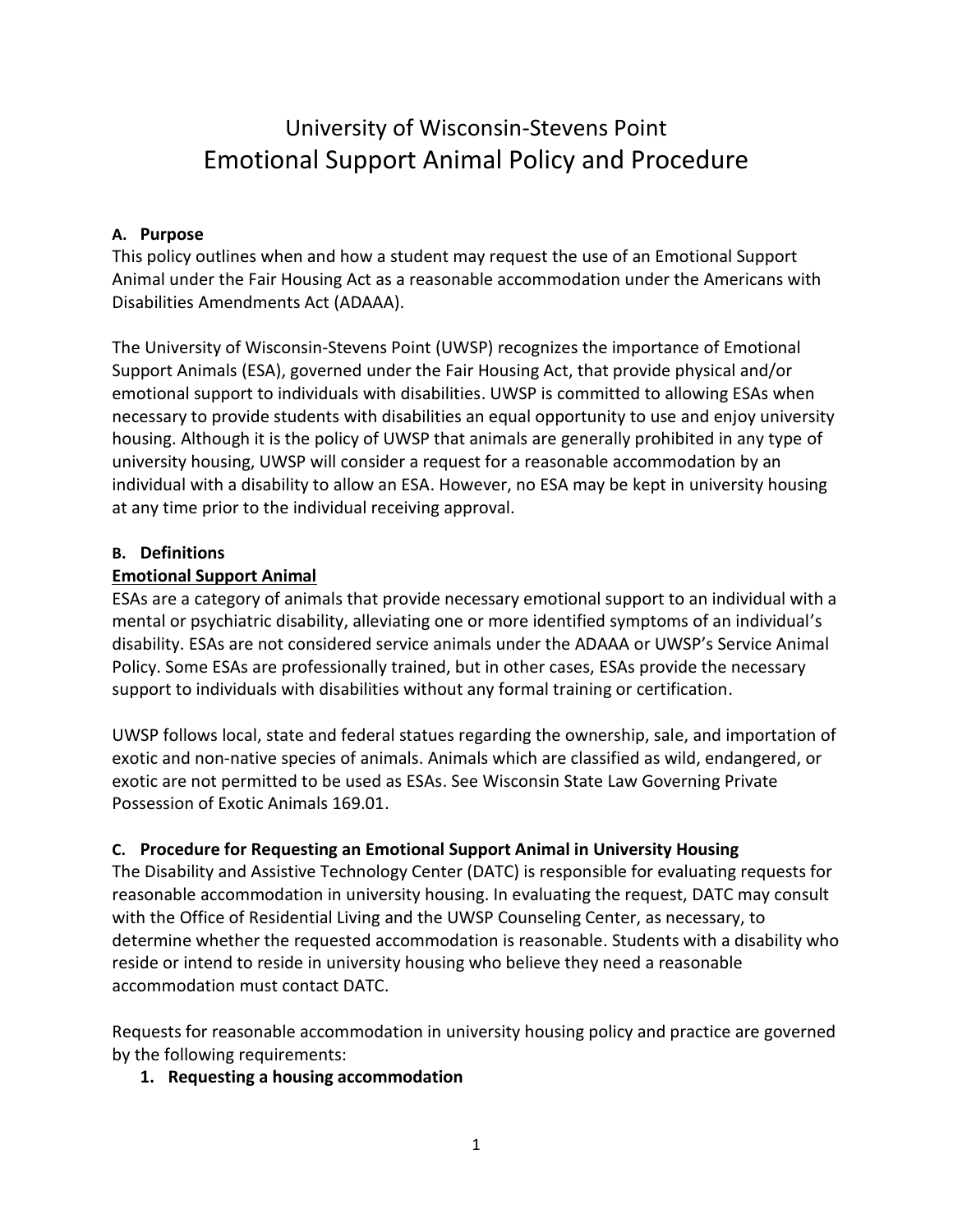# University of Wisconsin-Stevens Point Emotional Support Animal Policy and Procedure

# **A. Purpose**

This policy outlines when and how a student may request the use of an Emotional Support Animal under the Fair Housing Act as a reasonable accommodation under the Americans with Disabilities Amendments Act (ADAAA).

The University of Wisconsin-Stevens Point (UWSP) recognizes the importance of Emotional Support Animals (ESA), governed under the Fair Housing Act, that provide physical and/or emotional support to individuals with disabilities. UWSP is committed to allowing ESAs when necessary to provide students with disabilities an equal opportunity to use and enjoy university housing. Although it is the policy of UWSP that animals are generally prohibited in any type of university housing, UWSP will consider a request for a reasonable accommodation by an individual with a disability to allow an ESA. However, no ESA may be kept in university housing at any time prior to the individual receiving approval.

#### **B. Definitions**

#### **Emotional Support Animal**

ESAs are a category of animals that provide necessary emotional support to an individual with a mental or psychiatric disability, alleviating one or more identified symptoms of an individual's disability. ESAs are not considered service animals under the ADAAA or UWSP's Service Animal Policy. Some ESAs are professionally trained, but in other cases, ESAs provide the necessary support to individuals with disabilities without any formal training or certification.

UWSP follows local, state and federal statues regarding the ownership, sale, and importation of exotic and non-native species of animals. Animals which are classified as wild, endangered, or exotic are not permitted to be used as ESAs. See Wisconsin State Law Governing Private Possession of Exotic Animals 169.01.

# **C. Procedure for Requesting an Emotional Support Animal in University Housing**

The Disability and Assistive Technology Center (DATC) is responsible for evaluating requests for reasonable accommodation in university housing. In evaluating the request, DATC may consult with the Office of Residential Living and the UWSP Counseling Center, as necessary, to determine whether the requested accommodation is reasonable. Students with a disability who reside or intend to reside in university housing who believe they need a reasonable accommodation must contact DATC.

Requests for reasonable accommodation in university housing policy and practice are governed by the following requirements:

#### **1. Requesting a housing accommodation**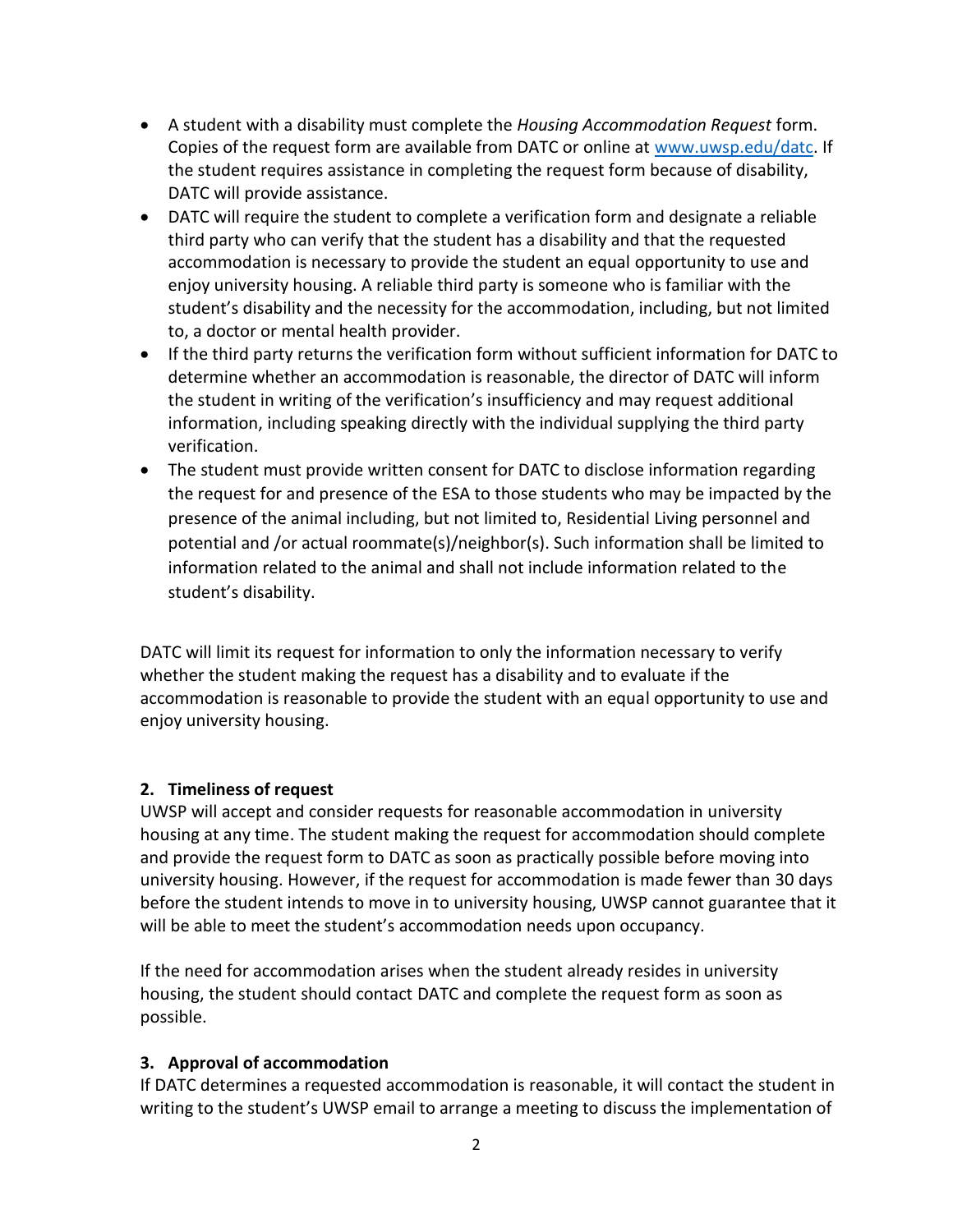- A student with a disability must complete the *Housing Accommodation Request* form. Copies of the request form are available from DATC or online at [www.uwsp.edu/datc.](http://www.uwsp.edu/datc) If the student requires assistance in completing the request form because of disability, DATC will provide assistance.
- DATC will require the student to complete a verification form and designate a reliable third party who can verify that the student has a disability and that the requested accommodation is necessary to provide the student an equal opportunity to use and enjoy university housing. A reliable third party is someone who is familiar with the student's disability and the necessity for the accommodation, including, but not limited to, a doctor or mental health provider.
- If the third party returns the verification form without sufficient information for DATC to determine whether an accommodation is reasonable, the director of DATC will inform the student in writing of the verification's insufficiency and may request additional information, including speaking directly with the individual supplying the third party verification.
- The student must provide written consent for DATC to disclose information regarding the request for and presence of the ESA to those students who may be impacted by the presence of the animal including, but not limited to, Residential Living personnel and potential and /or actual roommate(s)/neighbor(s). Such information shall be limited to information related to the animal and shall not include information related to the student's disability.

DATC will limit its request for information to only the information necessary to verify whether the student making the request has a disability and to evaluate if the accommodation is reasonable to provide the student with an equal opportunity to use and enjoy university housing.

# **2. Timeliness of request**

UWSP will accept and consider requests for reasonable accommodation in university housing at any time. The student making the request for accommodation should complete and provide the request form to DATC as soon as practically possible before moving into university housing. However, if the request for accommodation is made fewer than 30 days before the student intends to move in to university housing, UWSP cannot guarantee that it will be able to meet the student's accommodation needs upon occupancy.

If the need for accommodation arises when the student already resides in university housing, the student should contact DATC and complete the request form as soon as possible.

#### **3. Approval of accommodation**

If DATC determines a requested accommodation is reasonable, it will contact the student in writing to the student's UWSP email to arrange a meeting to discuss the implementation of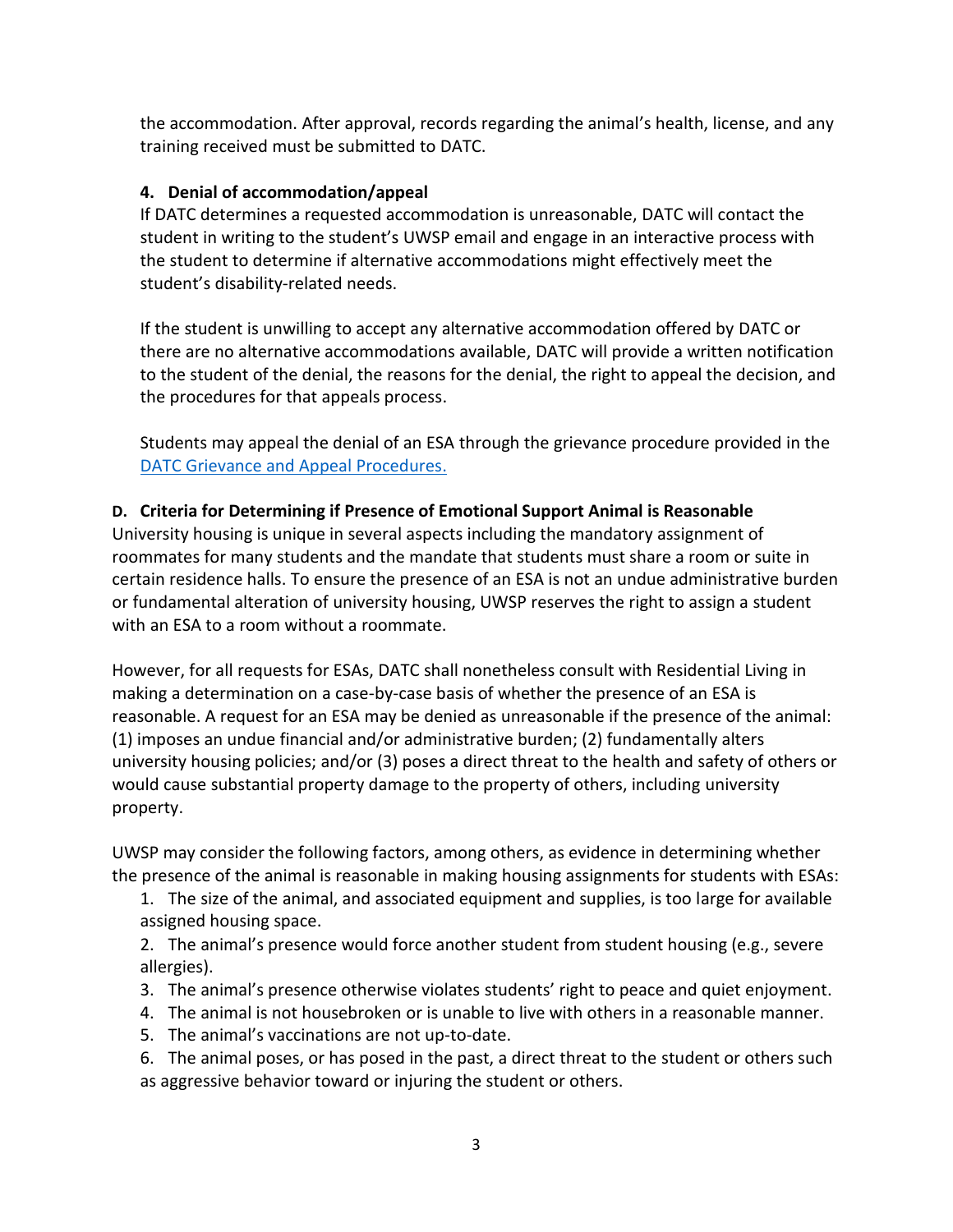the accommodation. After approval, records regarding the animal's health, license, and any training received must be submitted to DATC.

# **4. Denial of accommodation/appeal**

If DATC determines a requested accommodation is unreasonable, DATC will contact the student in writing to the student's UWSP email and engage in an interactive process with the student to determine if alternative accommodations might effectively meet the student's disability-related needs.

If the student is unwilling to accept any alternative accommodation offered by DATC or there are no alternative accommodations available, DATC will provide a written notification to the student of the denial, the reasons for the denial, the right to appeal the decision, and the procedures for that appeals process.

Students may appeal the denial of an ESA through the grievance procedure provided in the DATC [Grievance and Appeal Procedures.](https://www.uwsp.edu/datc/Documents/Grievance%20Procedure%20for%20Students%20with%20a%20Disability.pdf)

# **D. Criteria for Determining if Presence of Emotional Support Animal is Reasonable**

University housing is unique in several aspects including the mandatory assignment of roommates for many students and the mandate that students must share a room or suite in certain residence halls. To ensure the presence of an ESA is not an undue administrative burden or fundamental alteration of university housing, UWSP reserves the right to assign a student with an ESA to a room without a roommate.

However, for all requests for ESAs, DATC shall nonetheless consult with Residential Living in making a determination on a case-by-case basis of whether the presence of an ESA is reasonable. A request for an ESA may be denied as unreasonable if the presence of the animal: (1) imposes an undue financial and/or administrative burden; (2) fundamentally alters university housing policies; and/or (3) poses a direct threat to the health and safety of others or would cause substantial property damage to the property of others, including university property.

UWSP may consider the following factors, among others, as evidence in determining whether the presence of the animal is reasonable in making housing assignments for students with ESAs:

1. The size of the animal, and associated equipment and supplies, is too large for available assigned housing space.

2. The animal's presence would force another student from student housing (e.g., severe allergies).

- 3. The animal's presence otherwise violates students' right to peace and quiet enjoyment.
- 4. The animal is not housebroken or is unable to live with others in a reasonable manner.
- 5. The animal's vaccinations are not up-to-date.

6. The animal poses, or has posed in the past, a direct threat to the student or others such as aggressive behavior toward or injuring the student or others.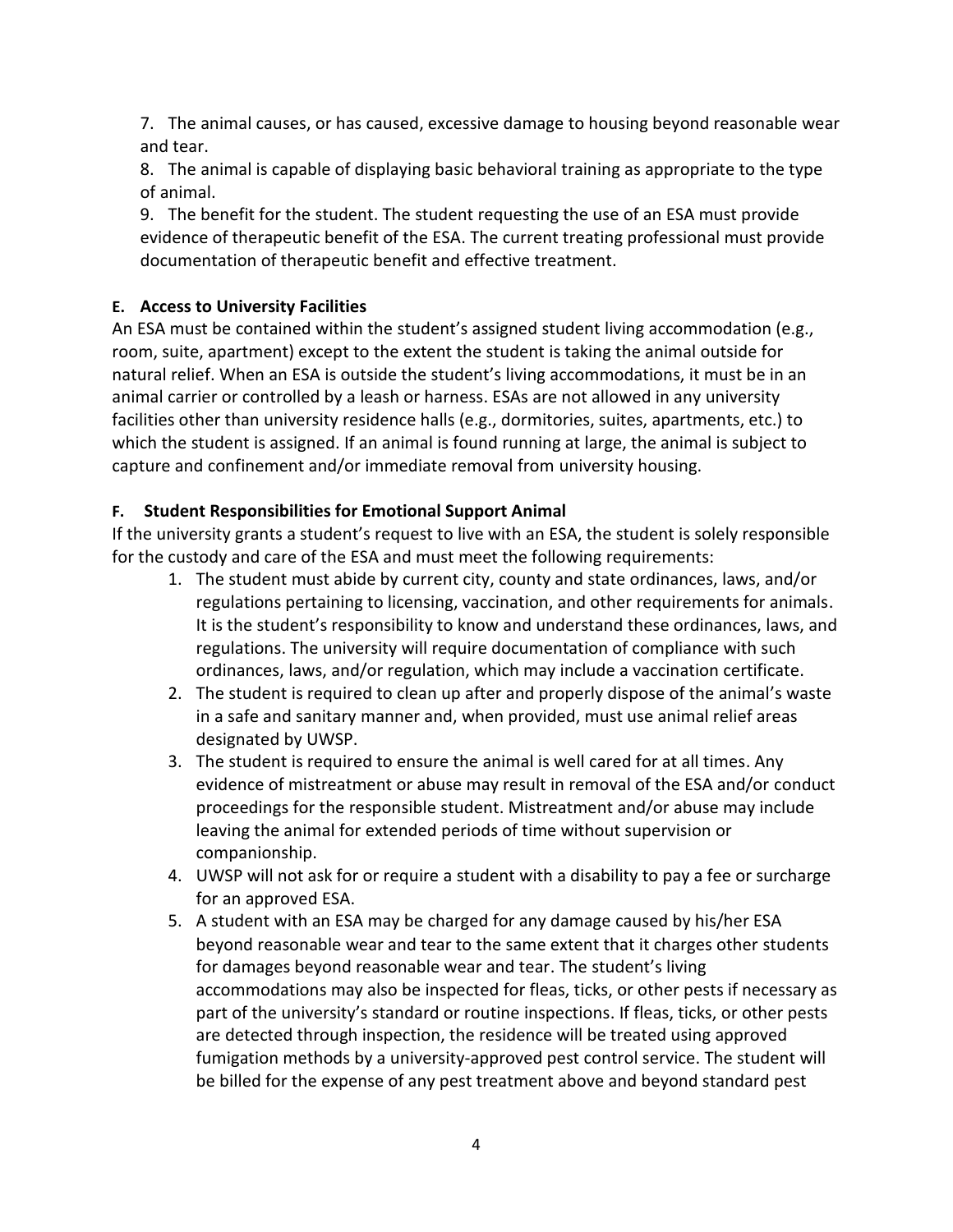7. The animal causes, or has caused, excessive damage to housing beyond reasonable wear and tear.

8. The animal is capable of displaying basic behavioral training as appropriate to the type of animal.

9. The benefit for the student. The student requesting the use of an ESA must provide evidence of therapeutic benefit of the ESA. The current treating professional must provide documentation of therapeutic benefit and effective treatment.

# **E. Access to University Facilities**

An ESA must be contained within the student's assigned student living accommodation (e.g., room, suite, apartment) except to the extent the student is taking the animal outside for natural relief. When an ESA is outside the student's living accommodations, it must be in an animal carrier or controlled by a leash or harness. ESAs are not allowed in any university facilities other than university residence halls (e.g., dormitories, suites, apartments, etc.) to which the student is assigned. If an animal is found running at large, the animal is subject to capture and confinement and/or immediate removal from university housing.

# **F. Student Responsibilities for Emotional Support Animal**

If the university grants a student's request to live with an ESA, the student is solely responsible for the custody and care of the ESA and must meet the following requirements:

- 1. The student must abide by current city, county and state ordinances, laws, and/or regulations pertaining to licensing, vaccination, and other requirements for animals. It is the student's responsibility to know and understand these ordinances, laws, and regulations. The university will require documentation of compliance with such ordinances, laws, and/or regulation, which may include a vaccination certificate.
- 2. The student is required to clean up after and properly dispose of the animal's waste in a safe and sanitary manner and, when provided, must use animal relief areas designated by UWSP.
- 3. The student is required to ensure the animal is well cared for at all times. Any evidence of mistreatment or abuse may result in removal of the ESA and/or conduct proceedings for the responsible student. Mistreatment and/or abuse may include leaving the animal for extended periods of time without supervision or companionship.
- 4. UWSP will not ask for or require a student with a disability to pay a fee or surcharge for an approved ESA.
- 5. A student with an ESA may be charged for any damage caused by his/her ESA beyond reasonable wear and tear to the same extent that it charges other students for damages beyond reasonable wear and tear. The student's living accommodations may also be inspected for fleas, ticks, or other pests if necessary as part of the university's standard or routine inspections. If fleas, ticks, or other pests are detected through inspection, the residence will be treated using approved fumigation methods by a university-approved pest control service. The student will be billed for the expense of any pest treatment above and beyond standard pest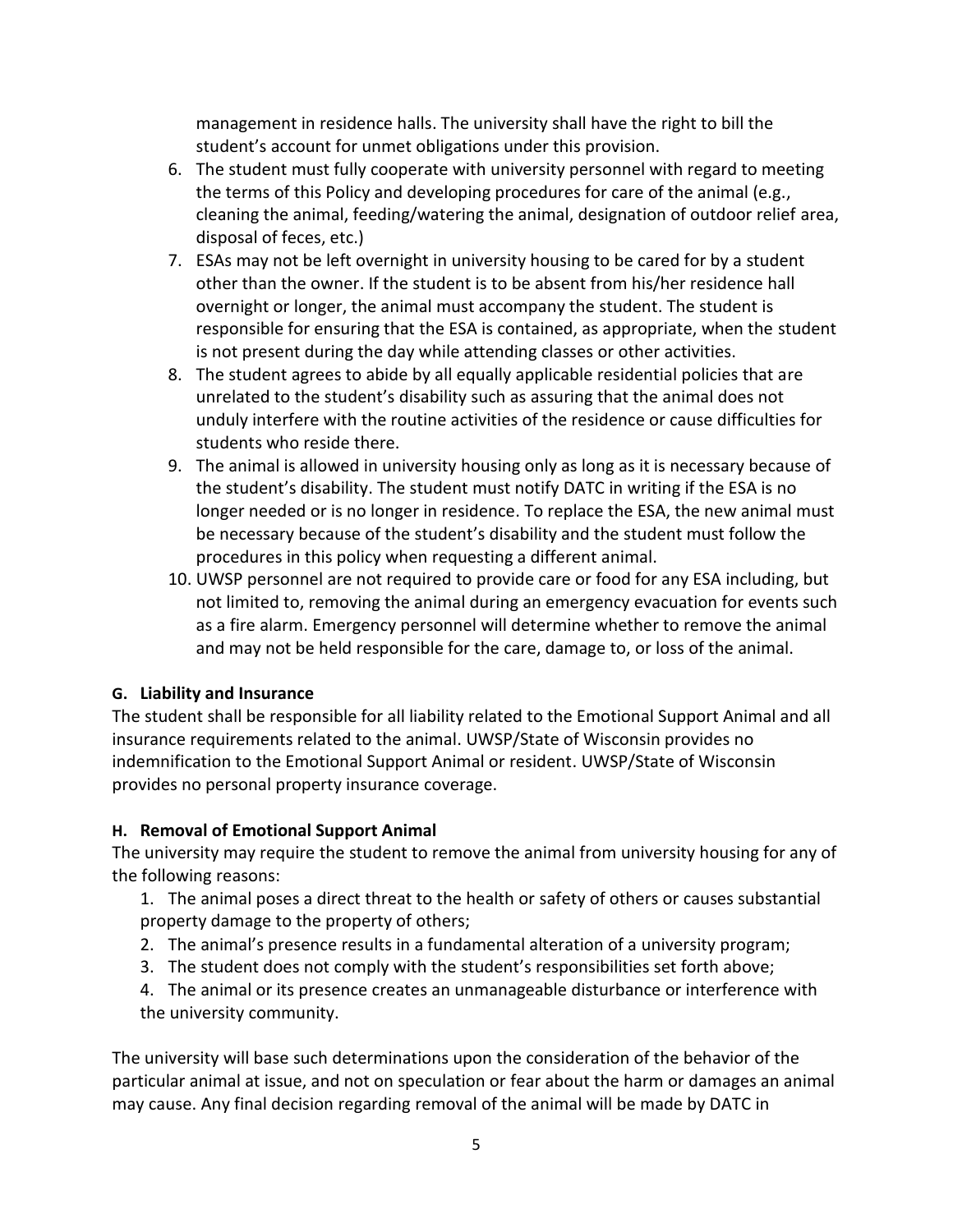management in residence halls. The university shall have the right to bill the student's account for unmet obligations under this provision.

- 6. The student must fully cooperate with university personnel with regard to meeting the terms of this Policy and developing procedures for care of the animal (e.g., cleaning the animal, feeding/watering the animal, designation of outdoor relief area, disposal of feces, etc.)
- 7. ESAs may not be left overnight in university housing to be cared for by a student other than the owner. If the student is to be absent from his/her residence hall overnight or longer, the animal must accompany the student. The student is responsible for ensuring that the ESA is contained, as appropriate, when the student is not present during the day while attending classes or other activities.
- 8. The student agrees to abide by all equally applicable residential policies that are unrelated to the student's disability such as assuring that the animal does not unduly interfere with the routine activities of the residence or cause difficulties for students who reside there.
- 9. The animal is allowed in university housing only as long as it is necessary because of the student's disability. The student must notify DATC in writing if the ESA is no longer needed or is no longer in residence. To replace the ESA, the new animal must be necessary because of the student's disability and the student must follow the procedures in this policy when requesting a different animal.
- 10. UWSP personnel are not required to provide care or food for any ESA including, but not limited to, removing the animal during an emergency evacuation for events such as a fire alarm. Emergency personnel will determine whether to remove the animal and may not be held responsible for the care, damage to, or loss of the animal.

# **G. Liability and Insurance**

The student shall be responsible for all liability related to the Emotional Support Animal and all insurance requirements related to the animal. UWSP/State of Wisconsin provides no indemnification to the Emotional Support Animal or resident. UWSP/State of Wisconsin provides no personal property insurance coverage.

# **H. Removal of Emotional Support Animal**

The university may require the student to remove the animal from university housing for any of the following reasons:

1. The animal poses a direct threat to the health or safety of others or causes substantial property damage to the property of others;

- 2. The animal's presence results in a fundamental alteration of a university program;
- 3. The student does not comply with the student's responsibilities set forth above;
- 4. The animal or its presence creates an unmanageable disturbance or interference with the university community.

The university will base such determinations upon the consideration of the behavior of the particular animal at issue, and not on speculation or fear about the harm or damages an animal may cause. Any final decision regarding removal of the animal will be made by DATC in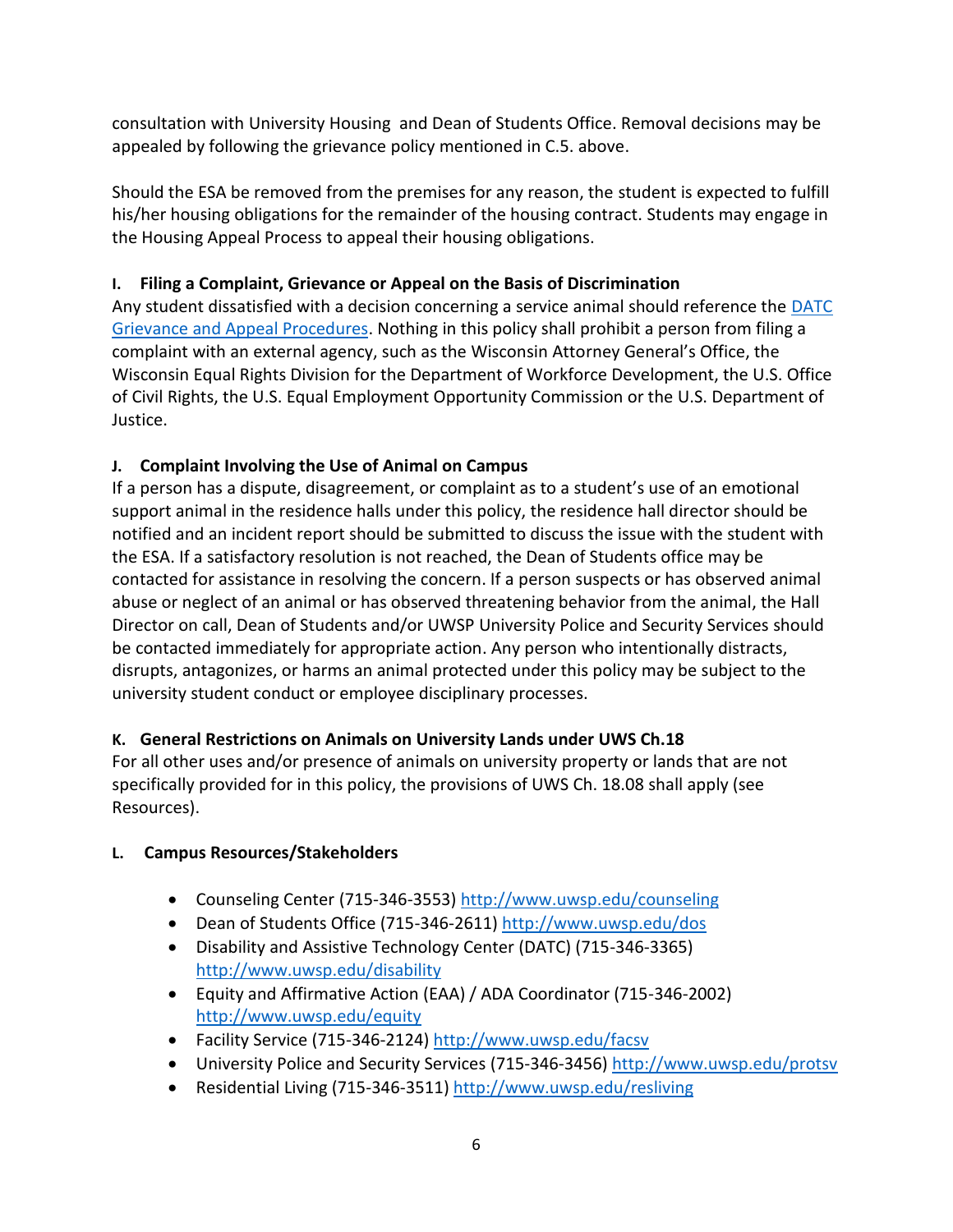consultation with University Housing and Dean of Students Office. Removal decisions may be appealed by following the grievance policy mentioned in C.5. above.

Should the ESA be removed from the premises for any reason, the student is expected to fulfill his/her housing obligations for the remainder of the housing contract. Students may engage in the Housing Appeal Process to appeal their housing obligations.

# **I. Filing a Complaint, Grievance or Appeal on the Basis of Discrimination**

Any student dissatisfied with a decision concerning a service animal should reference the [DATC](https://www.uwsp.edu/disability/Pages/Student%20Resources/grievanceProcedure.aspx) [Grievance and Appeal Procedures.](https://www.uwsp.edu/disability/Pages/Student%20Resources/grievanceProcedure.aspx) Nothing in this policy shall prohibit a person from filing a complaint with an external agency, such as the Wisconsin Attorney General's Office, the Wisconsin Equal Rights Division for the Department of Workforce Development, the U.S. Office of Civil Rights, the U.S. Equal Employment Opportunity Commission or the U.S. Department of Justice.

# **J. Complaint Involving the Use of Animal on Campus**

If a person has a dispute, disagreement, or complaint as to a student's use of an emotional support animal in the residence halls under this policy, the residence hall director should be notified and an incident report should be submitted to discuss the issue with the student with the ESA. If a satisfactory resolution is not reached, the Dean of Students office may be contacted for assistance in resolving the concern. If a person suspects or has observed animal abuse or neglect of an animal or has observed threatening behavior from the animal, the Hall Director on call, Dean of Students and/or UWSP University Police and Security Services should be contacted immediately for appropriate action. Any person who intentionally distracts, disrupts, antagonizes, or harms an animal protected under this policy may be subject to the university student conduct or employee disciplinary processes.

# **K. General Restrictions on Animals on University Lands under UWS Ch.18**

For all other uses and/or presence of animals on university property or lands that are not specifically provided for in this policy, the provisions of UWS Ch. 18.08 shall apply (see Resources).

# **L. Campus Resources/Stakeholders**

- Counseling Center (715-346-3553)<http://www.uwsp.edu/counseling>
- Dean of Students Office (715-346-2611)<http://www.uwsp.edu/dos>
- Disability and Assistive Technology Center (DATC) (715-346-3365) <http://www.uwsp.edu/disability>
- Equity and Affirmative Action (EAA) / ADA Coordinator (715-346-2002) <http://www.uwsp.edu/equity>
- Facility Service (715-346-2124)<http://www.uwsp.edu/facsv>
- University Police and Security Services (715-346-3456)<http://www.uwsp.edu/protsv>
- Residential Living (715-346-3511)<http://www.uwsp.edu/resliving>